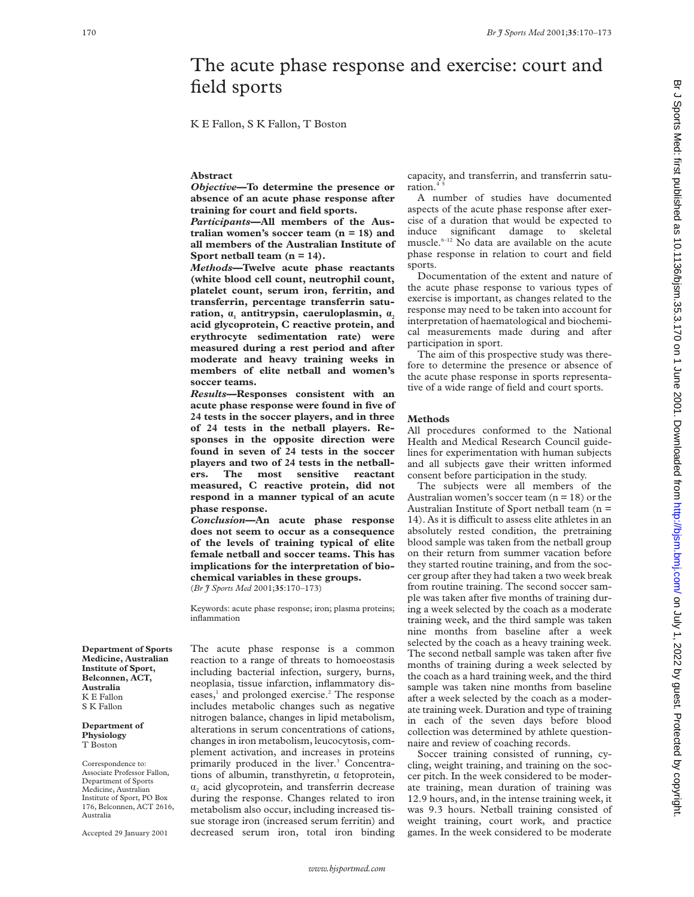# The acute phase response and exercise: court and field sports

K E Fallon, S K Fallon, T Boston

## **Abstract**

*Objective***—To determine the presence or absence of an acute phase response after training for court and field sports.**

*Participants***—All members of the Australian women's soccer team (n = 18) and all members of the Australian Institute of Sport netball team (n = 14).**

*Methods***—Twelve acute phase reactants (white blood cell count, neutrophil count, platelet count, serum iron, ferritin, and transferrin, percentage transferrin satu**ration,  $\alpha$ , antitrypsin, caeruloplasmin,  $\alpha$ , **acid glycoprotein, C reactive protein, and erythrocyte sedimentation rate) were measured during a rest period and after moderate and heavy training weeks in members of elite netball and women's soccer teams.**

*Results***—Responses consistent with an acute phase response were found in five of 24 tests in the soccer players, and in three of 24 tests in the netball players. Responses in the opposite direction were found in seven of 24 tests in the soccer players and two of 24 tests in the netballers. The most sensitive reactant measured, C reactive protein, did not respond in a manner typical of an acute phase response.**

*Conclusion***—An acute phase response does not seem to occur as a consequence of the levels of training typical of elite female netball and soccer teams. This has implications for the interpretation of biochemical variables in these groups.** (*Br J Sports Med* 2001;**35**:170–173)

Keywords: acute phase response; iron; plasma proteins; inflammation

The acute phase response is a common reaction to a range of threats to homoeostasis including bacterial infection, surgery, burns, neoplasia, tissue infarction, inflammatory diseases, $<sup>1</sup>$  and prolonged exercise.<sup>2</sup> The response</sup> includes metabolic changes such as negative nitrogen balance, changes in lipid metabolism, alterations in serum concentrations of cations, changes in iron metabolism, leucocytosis, complement activation, and increases in proteins primarily produced in the liver.<sup>3</sup> Concentrations of albumin, transthyretin,  $\alpha$  fetoprotein,  $\alpha$ , acid glycoprotein, and transferrin decrease during the response. Changes related to iron metabolism also occur, including increased tissue storage iron (increased serum ferritin) and decreased serum iron, total iron binding

capacity, and transferrin, and transferrin saturation.<sup>4</sup>

A number of studies have documented aspects of the acute phase response after exercise of a duration that would be expected to induce significant damage to skeletal muscle.<sup>6-12</sup> No data are available on the acute phase response in relation to court and field sports.

Documentation of the extent and nature of the acute phase response to various types of exercise is important, as changes related to the response may need to be taken into account for interpretation of haematological and biochemical measurements made during and after participation in sport.

The aim of this prospective study was therefore to determine the presence or absence of the acute phase response in sports representative of a wide range of field and court sports.

### **Methods**

All procedures conformed to the National Health and Medical Research Council guidelines for experimentation with human subjects and all subjects gave their written informed consent before participation in the study.

The subjects were all members of the Australian women's soccer team  $(n = 18)$  or the Australian Institute of Sport netball team (n = 14). As it is difficult to assess elite athletes in an absolutely rested condition, the pretraining blood sample was taken from the netball group on their return from summer vacation before they started routine training, and from the soccer group after they had taken a two week break from routine training. The second soccer sample was taken after five months of training during a week selected by the coach as a moderate training week, and the third sample was taken nine months from baseline after a week selected by the coach as a heavy training week. The second netball sample was taken after five months of training during a week selected by the coach as a hard training week, and the third sample was taken nine months from baseline after a week selected by the coach as a moderate training week. Duration and type of training in each of the seven days before blood collection was determined by athlete questionnaire and review of coaching records.

Soccer training consisted of running, cycling, weight training, and training on the soccer pitch. In the week considered to be moderate training, mean duration of training was 12.9 hours, and, in the intense training week, it was 9.3 hours. Netball training consisted of weight training, court work, and practice games. In the week considered to be moderate

**Department of Sports Medicine, Australian Institute of Sport, Belconnen, ACT, Australia** K E Fallon S K Fallon

#### **Department of Physiology** T Boston

Correspondence to: Associate Professor Fallon, Department of Sports Medicine, Australian Institute of Sport, PO Box 176, Belconnen, ACT 2616, Australia

Accepted 29 January 2001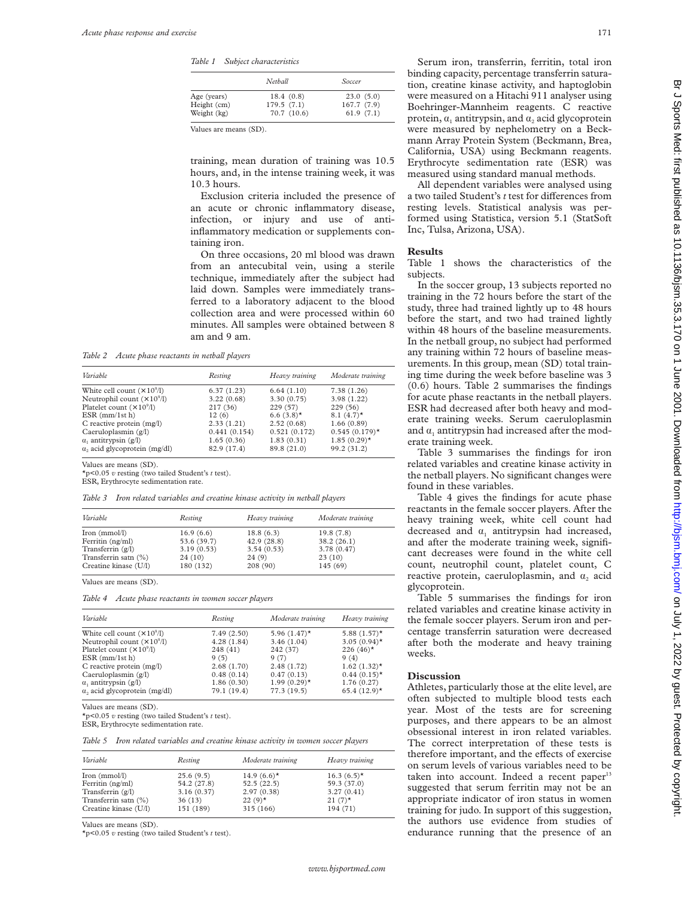*Table 1 Subject characteristics*

|             | Netball    | Soccer     |
|-------------|------------|------------|
| Age (years) | 18.4(0.8)  | 23.0(5.0)  |
| Height (cm) | 179.5(7.1) | 167.7(7.9) |
| Weight (kg) | 70.7(10.6) | 61.9(7.1)  |

Values are means (SD).

training, mean duration of training was 10.5 hours, and, in the intense training week, it was 10.3 hours.

Exclusion criteria included the presence of an acute or chronic inflammatory disease, infection, or injury and use of antiinflammatory medication or supplements containing iron.

On three occasions, 20 ml blood was drawn from an antecubital vein, using a sterile technique, immediately after the subject had laid down. Samples were immediately transferred to a laboratory adjacent to the blood collection area and were processed within 60 minutes. All samples were obtained between 8 am and 9 am.

*Table 2 Acute phase reactants in netball players*

| Variable                             | Resting      | Heavy training | Moderate training |
|--------------------------------------|--------------|----------------|-------------------|
| White cell count $(\times 10^9$ /l)  | 6.37(1.23)   | 6.64(1.10)     | 7.38(1.26)        |
| Neutrophil count $(\times 10^9/1)$   | 3.22(0.68)   | 3.30(0.75)     | 3.98 (1.22)       |
| Platelet count $(\times 10^9$ /l)    | 217(36)      | 229 (57)       | 229(56)           |
| $ESR$ (mm/1st h)                     | 12(6)        | $6.6(3.8)$ *   | 8.1 $(4.7)$ *     |
| C reactive protein (mg/l)            | 2.33(1.21)   | 2.52(0.68)     | 1.66(0.89)        |
| Caeruloplasmin $(g/l)$               | 0.441(0.154) | 0.521(0.172)   | $0.545(0.179)$ *  |
| $\alpha$ , antitrypsin (g/l)         | 1.65(0.36)   | 1.83(0.31)     | $1.85(0.29)$ *    |
| $\alpha$ , acid glycoprotein (mg/dl) | 82.9 (17.4)  | 89.8 (21.0)    | 99.2 (31.2)       |

Values are means (SD).

\*p<0.05 *v* resting (two tailed Student's *t* test).

ESR, Erythrocyte sedimentation rate.

*Table 3 Iron related variables and creatine kinase activity in netball players*

| Variable              | Resting     | Heavy training | Moderate training |
|-----------------------|-------------|----------------|-------------------|
| $\gamma$ (mmol/l)     | 16.9(6.6)   | 18.8(6.3)      | 19.8(7.8)         |
| Ferritin (ng/ml)      | 53.6 (39.7) | 42.9(28.8)     | 38.2(26.1)        |
| Transferrin $(g/l)$   | 3.19(0.53)  | 3.54(0.53)     | 3.78(0.47)        |
| Transferrin satn (%)  | 24(10)      | 24(9)          | 23(10)            |
| Creatine kinase (U/l) | 180 (132)   | 208 (90)       | 145(69)           |

Values are means (SD).

*Table 4 Acute phase reactants in women soccer players*

| Variable                             | Resting     | Moderate training | Heavy training  |
|--------------------------------------|-------------|-------------------|-----------------|
| White cell count $(\times 10^9$ /l)  | 7.49(2.50)  | 5.96 $(1.47)$ *   | $5.88(1.57)$ *  |
| Neutrophil count $(\times 10^9$ /l)  | 4.28(1.84)  | 3.46(1.04)        | 3.05 $(0.94)$ * |
| Platelet count $(\times 10^9/l)$     | 248 (41)    | 242 (37)          | 226 $(46)$ *    |
| $ESR$ (mm/1st h)                     | 9(5)        | 9(7)              | 9(4)            |
| C reactive protein (mg/l)            | 2.68(1.70)  | 2.48(1.72)        | $1.62(1.32)$ *  |
| Caeruloplasmin (g/l)                 | 0.48(0.14)  | 0.47(0.13)        | $0.44(0.15)$ *  |
| $\alpha_1$ antitrypsin (g/l)         | 1.86(0.30)  | $1.99(0.29)$ *    | 1.76(0.27)      |
| $\alpha$ , acid glycoprotein (mg/dl) | 79.1 (19.4) | 77.3(19.5)        | $65.4(12.9)$ *  |
|                                      |             |                   |                 |

Values are means (SD).

\*p<0.05 *v* resting (two tailed Student's *t* test).

ESR, Erythrocyte sedimentation rate.

*Table 5 Iron related variables and creatine kinase activity in women soccer players*

| Variable                              | Resting                  | Moderate training            | Heavy training               |
|---------------------------------------|--------------------------|------------------------------|------------------------------|
|                                       |                          |                              |                              |
| $\gamma$ (mmol/l)<br>Ferritin (ng/ml) | 25.6(9.5)<br>54.2 (27.8) | 14.9 $(6.6)^*$<br>52.5(22.5) | $16.3(6.5)$ *<br>59.3 (37.0) |
| Transferrin $(g/l)$                   | 3.16(0.37)               | 2.97(0.38)                   | 3.27(0.41)                   |
| Transferrin satn (%)                  | 36(13)                   | $22(9)$ *                    | $21(7)$ *                    |
| Creatine kinase (U/l)                 | 151 (189)                | 315 (166)                    | 194(71)                      |

Values are means (SD).

\*p<0.05 *v* resting (two tailed Student's *t* test).

Serum iron, transferrin, ferritin, total iron binding capacity, percentage transferrin saturation, creatine kinase activity, and haptoglobin were measured on a Hitachi 911 analyser using Boehringer-Mannheim reagents. C reactive protein,  $\alpha_1$  antitrypsin, and  $\alpha_2$  acid glycoprotein were measured by nephelometry on a Beckmann Array Protein System (Beckmann, Brea, California, USA) using Beckmann reagents. Erythrocyte sedimentation rate (ESR) was measured using standard manual methods.

All dependent variables were analysed using a two tailed Student's *t* test for differences from resting levels. Statistical analysis was performed using Statistica, version 5.1 (StatSoft Inc, Tulsa, Arizona, USA).

## **Results**

Table 1 shows the characteristics of the subjects.

In the soccer group, 13 subjects reported no training in the 72 hours before the start of the study, three had trained lightly up to 48 hours before the start, and two had trained lightly within 48 hours of the baseline measurements. In the netball group, no subject had performed any training within 72 hours of baseline measurements. In this group, mean (SD) total training time during the week before baseline was 3 (0.6) hours. Table 2 summarises the findings for acute phase reactants in the netball players. ESR had decreased after both heavy and moderate training weeks. Serum caeruloplasmin and  $\alpha_1$  antitrypsin had increased after the moderate training week.

Table 3 summarises the findings for iron related variables and creatine kinase activity in the netball players. No significant changes were found in these variables.

Table 4 gives the findings for acute phase reactants in the female soccer players. After the heavy training week, white cell count had decreased and  $\alpha_1$  antitrypsin had increased, and after the moderate training week, significant decreases were found in the white cell count, neutrophil count, platelet count, C reactive protein, caeruloplasmin, and  $\alpha_2$  acid glycoprotein.

Table 5 summarises the findings for iron related variables and creatine kinase activity in the female soccer players. Serum iron and percentage transferrin saturation were decreased after both the moderate and heavy training weeks.

## **Discussion**

Athletes, particularly those at the elite level, are often subjected to multiple blood tests each year. Most of the tests are for screening purposes, and there appears to be an almost obsessional interest in iron related variables. The correct interpretation of these tests is therefore important, and the effects of exercise on serum levels of various variables need to be taken into account. Indeed a recent paper<sup>13</sup> suggested that serum ferritin may not be an appropriate indicator of iron status in women training for judo. In support of this suggestion, the authors use evidence from studies of endurance running that the presence of an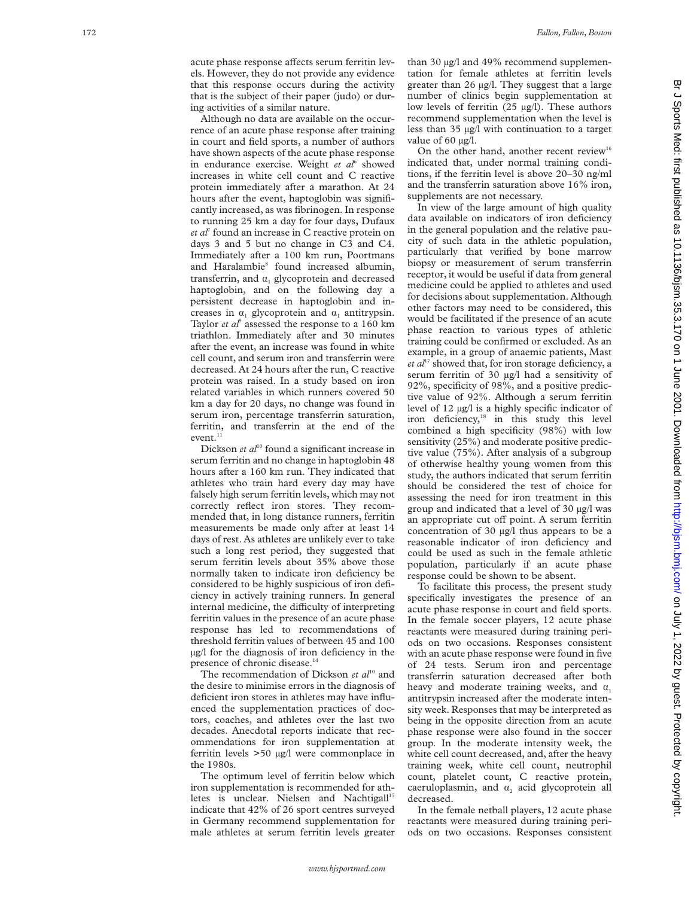acute phase response affects serum ferritin levels. However, they do not provide any evidence that this response occurs during the activity that is the subject of their paper (judo) or during activities of a similar nature.

Although no data are available on the occurrence of an acute phase response after training in court and field sports, a number of authors have shown aspects of the acute phase response in endurance exercise. Weight *et al*<sup>6</sup> showed increases in white cell count and C reactive protein immediately after a marathon. At 24 hours after the event, haptoglobin was significantly increased, as was fibrinogen. In response to running 25 km a day for four days, Dufaux *et al*<sup>7</sup> found an increase in C reactive protein on days 3 and 5 but no change in C3 and C4. Immediately after a 100 km run, Poortmans and Haralambie <sup>8</sup> found increased albumin, transferrin, and  $\alpha_1$  glycoprotein and decreased haptoglobin, and on the following day a persistent decrease in haptoglobin and increases in  $\alpha_1$  glycoprotein and  $\alpha_1$  antitrypsin. Taylor *et al*<sup>9</sup> assessed the response to a 160 km triathlon. Immediately after and 30 minutes after the event, an increase was found in white cell count, and serum iron and transferrin were decreased. At 24 hours after the run, C reactive protein was raised. In a study based on iron related variables in which runners covered 50 km a day for 20 days, no change was found in serum iron, percentage transferrin saturation, ferritin, and transferrin at the end of the  $event.<sup>1</sup>$ 

Dickson *et al*<sup>10</sup> found a significant increase in serum ferritin and no change in haptoglobin 48 hours after a 160 km run. They indicated that athletes who train hard every day may have falsely high serum ferritin levels, which may not correctly reflect iron stores. They recommended that, in long distance runners, ferritin measurements be made only after at least 14 days of rest. As athletes are unlikely ever to take such a long rest period, they suggested that serum ferritin levels about 35% above those normally taken to indicate iron deficiency be considered to be highly suspicious of iron deficiency in actively training runners. In general internal medicine, the difficulty of interpreting ferritin values in the presence of an acute phase response has led to recommendations of threshold ferritin values of between 45 and 100 µg/l for the diagnosis of iron deficiency in the presence of chronic disease.<sup>14</sup>

The recommendation of Dickson *et al*<sup>10</sup> and the desire to minimise errors in the diagnosis of deficient iron stores in athletes may have influenced the supplementation practices of doctors, coaches, and athletes over the last two decades. Anecdotal reports indicate that recommendations for iron supplementation at ferritin levels >50 µg/l were commonplace in the 1980s.

The optimum level of ferritin below which iron supplementation is recommended for athletes is unclear. Nielsen and Nachtigall<sup>15</sup> indicate that 42% of 26 sport centres surveyed in Germany recommend supplementation for male athletes at serum ferritin levels greater than 30 µg/l and 49% recommend supplementation for female athletes at ferritin levels greater than 26 µg/l. They suggest that a large number of clinics begin supplementation at low levels of ferritin (25 µg/l). These authors recommend supplementation when the level is less than 35 µg/l with continuation to a target value of 60  $\mu$ g/l.

On the other hand, another recent review<sup>16</sup> indicated that, under normal training conditions, if the ferritin level is above 20–30 ng/ml and the transferrin saturation above 16% iron, supplements are not necessary.

In view of the large amount of high quality data available on indicators of iron deficiency in the general population and the relative paucity of such data in the athletic population, particularly that verified by bone marrow biopsy or measurement of serum transferrin receptor, it would be useful if data from general medicine could be applied to athletes and used for decisions about supplementation. Although other factors may need to be considered, this would be facilitated if the presence of an acute phase reaction to various types of athletic training could be confirmed or excluded. As an example, in a group of anaemic patients, Mast *et al*<sup>17</sup> showed that, for iron storage deficiency, a serum ferritin of 30 µg/l had a sensitivity of 92%, specificity of 98%, and a positive predictive value of 92%. Although a serum ferritin level of 12 µg/l is a highly specific indicator of iron deficiency,<sup>18</sup> in this study this level combined a high specificity (98%) with low sensitivity (25%) and moderate positive predictive value (75%). After analysis of a subgroup of otherwise healthy young women from this study, the authors indicated that serum ferritin should be considered the test of choice for assessing the need for iron treatment in this group and indicated that a level of 30 µg/l was an appropriate cut off point. A serum ferritin concentration of 30 µg/l thus appears to be a reasonable indicator of iron deficiency and could be used as such in the female athletic population, particularly if an acute phase response could be shown to be absent.

To facilitate this process, the present study specifically investigates the presence of an acute phase response in court and field sports. In the female soccer players, 12 acute phase reactants were measured during training periods on two occasions. Responses consistent with an acute phase response were found in five of 24 tests. Serum iron and percentage transferrin saturation decreased after both heavy and moderate training weeks, and  $\alpha_1$ antitrypsin increased after the moderate intensity week. Responses that may be interpreted as being in the opposite direction from an acute phase response were also found in the soccer group. In the moderate intensity week, the white cell count decreased, and, after the heavy training week, white cell count, neutrophil count, platelet count, C reactive protein, caeruloplasmin, and  $\alpha_2$  acid glycoprotein all decreased.

In the female netball players, 12 acute phase reactants were measured during training periods on two occasions. Responses consistent